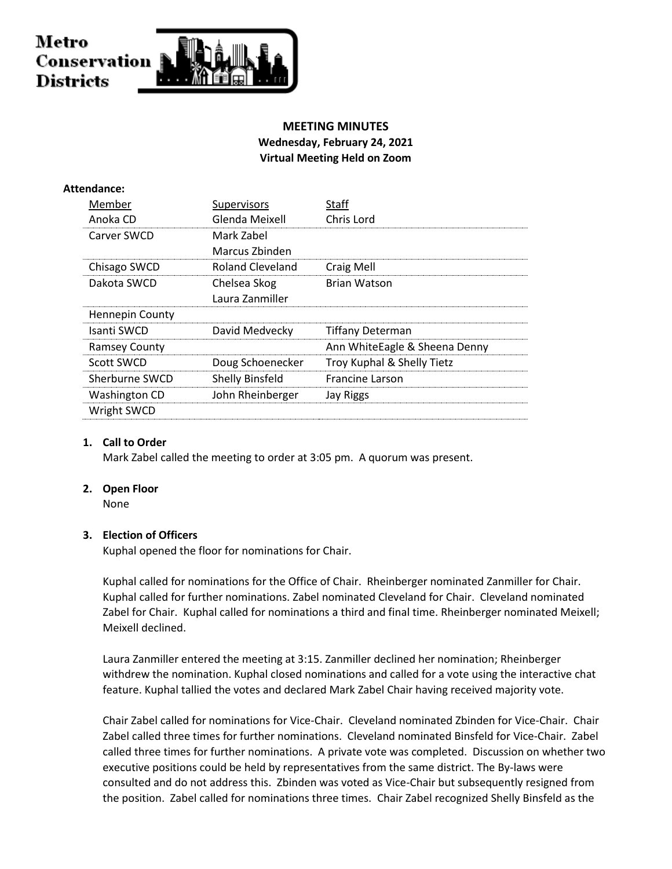# Metro Conservation **Districts**

## **MEETING MINUTES Wednesday, February 24, 2021 Virtual Meeting Held on Zoom**

## **Attendance:**

| Member               | Supervisors            | Staff                         |
|----------------------|------------------------|-------------------------------|
| Anoka CD             | Glenda Meixell         | Chris Lord                    |
| Carver SWCD          | Mark Zabel             |                               |
|                      | Marcus Zbinden         |                               |
| Chisago SWCD         | Roland Cleveland       | Craig Mell                    |
| Dakota SWCD          | Chelsea Skog           | <b>Brian Watson</b>           |
|                      | Laura Zanmiller        |                               |
| Hennepin County      |                        |                               |
| Isanti SWCD          | David Medvecky         | <b>Tiffany Determan</b>       |
| <b>Ramsey County</b> |                        | Ann WhiteEagle & Sheena Denny |
| Scott SWCD           | Doug Schoenecker       | Troy Kuphal & Shelly Tietz    |
| Sherburne SWCD       | <b>Shelly Binsfeld</b> | <b>Francine Larson</b>        |
| Washington CD        | John Rheinberger       | Jay Riggs                     |
| Wright SWCD          |                        |                               |
|                      |                        |                               |

## **1. Call to Order**

Mark Zabel called the meeting to order at 3:05 pm. A quorum was present.

## **2. Open Floor**

None

## **3. Election of Officers**

Kuphal opened the floor for nominations for Chair.

Kuphal called for nominations for the Office of Chair. Rheinberger nominated Zanmiller for Chair. Kuphal called for further nominations. Zabel nominated Cleveland for Chair. Cleveland nominated Zabel for Chair. Kuphal called for nominations a third and final time. Rheinberger nominated Meixell; Meixell declined.

Laura Zanmiller entered the meeting at 3:15. Zanmiller declined her nomination; Rheinberger withdrew the nomination. Kuphal closed nominations and called for a vote using the interactive chat feature. Kuphal tallied the votes and declared Mark Zabel Chair having received majority vote.

Chair Zabel called for nominations for Vice-Chair. Cleveland nominated Zbinden for Vice-Chair. Chair Zabel called three times for further nominations. Cleveland nominated Binsfeld for Vice-Chair. Zabel called three times for further nominations. A private vote was completed. Discussion on whether two executive positions could be held by representatives from the same district. The By-laws were consulted and do not address this. Zbinden was voted as Vice-Chair but subsequently resigned from the position. Zabel called for nominations three times. Chair Zabel recognized Shelly Binsfeld as the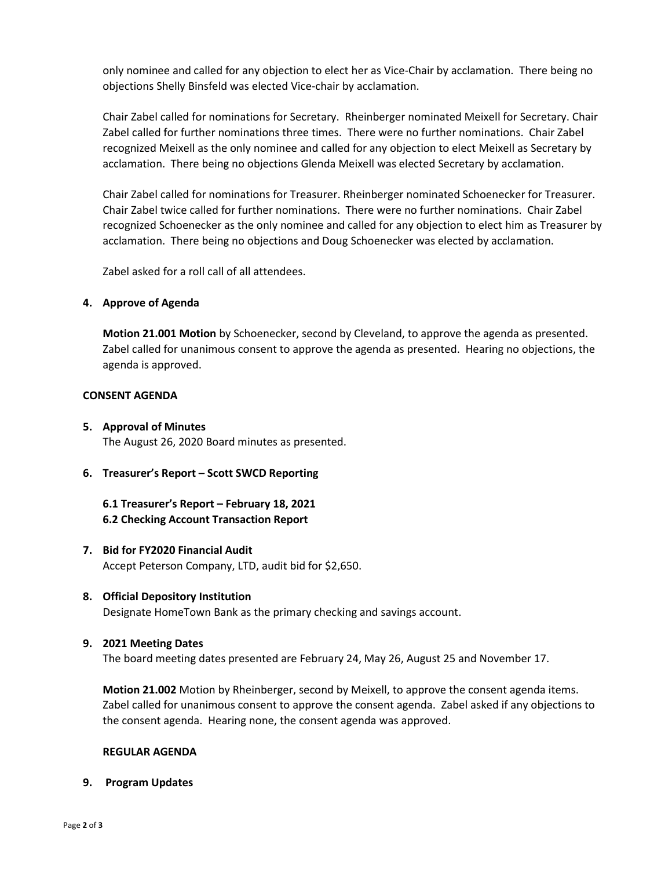only nominee and called for any objection to elect her as Vice-Chair by acclamation. There being no objections Shelly Binsfeld was elected Vice-chair by acclamation.

Chair Zabel called for nominations for Secretary. Rheinberger nominated Meixell for Secretary. Chair Zabel called for further nominations three times. There were no further nominations. Chair Zabel recognized Meixell as the only nominee and called for any objection to elect Meixell as Secretary by acclamation. There being no objections Glenda Meixell was elected Secretary by acclamation.

Chair Zabel called for nominations for Treasurer. Rheinberger nominated Schoenecker for Treasurer. Chair Zabel twice called for further nominations. There were no further nominations. Chair Zabel recognized Schoenecker as the only nominee and called for any objection to elect him as Treasurer by acclamation. There being no objections and Doug Schoenecker was elected by acclamation.

Zabel asked for a roll call of all attendees.

#### **4. Approve of Agenda**

**Motion 21.001 Motion** by Schoenecker, second by Cleveland, to approve the agenda as presented. Zabel called for unanimous consent to approve the agenda as presented. Hearing no objections, the agenda is approved.

#### **CONSENT AGENDA**

**5. Approval of Minutes**

The August 26, 2020 Board minutes as presented.

**6. Treasurer's Report – Scott SWCD Reporting**

## **6.1 Treasurer's Report – February 18, 2021 6.2 Checking Account Transaction Report**

**7. Bid for FY2020 Financial Audit** Accept Peterson Company, LTD, audit bid for \$2,650.

## **8. Official Depository Institution**

Designate HomeTown Bank as the primary checking and savings account.

#### **9. 2021 Meeting Dates**

The board meeting dates presented are February 24, May 26, August 25 and November 17.

**Motion 21.002** Motion by Rheinberger, second by Meixell, to approve the consent agenda items. Zabel called for unanimous consent to approve the consent agenda. Zabel asked if any objections to the consent agenda. Hearing none, the consent agenda was approved.

#### **REGULAR AGENDA**

**9. Program Updates**